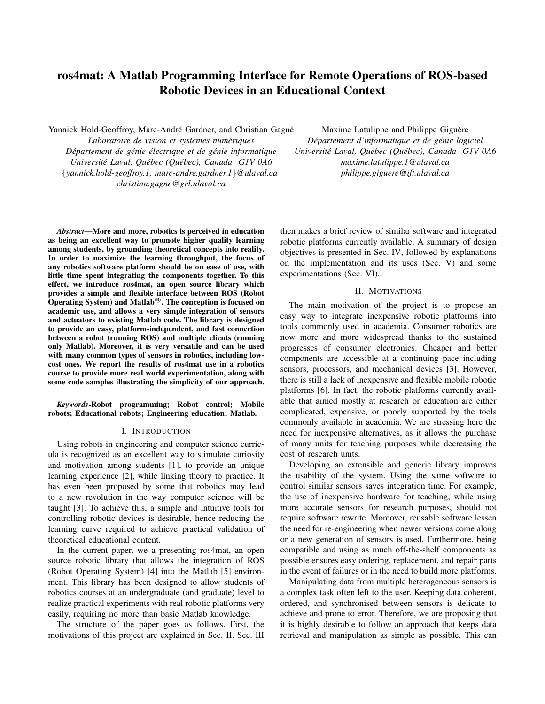# ros4mat: A Matlab Programming Interface for Remote Operations of ROS-based Robotic Devices in an Educational Context

Yannick Hold-Geoffroy, Marc-André Gardner, and Christian Gagné

*Laboratoire de vision et systèmes numériques Departement de g ´ enie ´ electrique et de g ´ enie informatique ´ Université Laval, Québec (Québec), Canada G1V 0A6* {*yannick.hold-geoffroy.1, marc-andre.gardner.1*}*@ulaval.ca christian.gagne@gel.ulaval.ca*

Maxime Latulippe and Philippe Giguère *Departement d'informatique et de g ´ enie logiciel ´ Université Laval, Québec (Québec), Canada G1V 0A6 maxime.latulippe.1@ulaval.ca philippe.giguere@ift.ulaval.ca*

*Abstract*—More and more, robotics is perceived in education as being an excellent way to promote higher quality learning among students, by grounding theoretical concepts into reality. In order to maximize the learning throughput, the focus of any robotics software platform should be on ease of use, with little time spent integrating the components together. To this effect, we introduce ros4mat, an open source library which provides a simple and flexible interface between ROS (Robot Operating System) and Matlab<sup>®</sup>. The conception is focused on academic use, and allows a very simple integration of sensors and actuators to existing Matlab code. The library is designed to provide an easy, platform-independent, and fast connection between a robot (running ROS) and multiple clients (running only Matlab). Moreover, it is very versatile and can be used with many common types of sensors in robotics, including lowcost ones. We report the results of ros4mat use in a robotics course to provide more real world experimentation, along with some code samples illustrating the simplicity of our approach.

*Keywords*-Robot programming; Robot control; Mobile robots; Educational robots; Engineering education; Matlab.

#### I. INTRODUCTION

Using robots in engineering and computer science curricula is recognized as an excellent way to stimulate curiosity and motivation among students [1], to provide an unique learning experience [2], while linking theory to practice. It has even been proposed by some that robotics may lead to a new revolution in the way computer science will be taught [3]. To achieve this, a simple and intuitive tools for controlling robotic devices is desirable, hence reducing the learning curve required to achieve practical validation of theoretical educational content.

In the current paper, we a presenting ros4mat, an open source robotic library that allows the integration of ROS (Robot Operating System) [4] into the Matlab [5] environment. This library has been designed to allow students of robotics courses at an undergraduate (and graduate) level to realize practical experiments with real robotic platforms very easily, requiring no more than basic Matlab knowledge.

The structure of the paper goes as follows. First, the motivations of this project are explained in Sec. II. Sec. III then makes a brief review of similar software and integrated robotic platforms currently available. A summary of design objectives is presented in Sec. IV, followed by explanations on the implementation and its uses (Sec. V) and some experimentations (Sec. VI).

## II. MOTIVATIONS

The main motivation of the project is to propose an easy way to integrate inexpensive robotic platforms into tools commonly used in academia. Consumer robotics are now more and more widespread thanks to the sustained progresses of consumer electronics. Cheaper and better components are accessible at a continuing pace including sensors, processors, and mechanical devices [3]. However, there is still a lack of inexpensive and flexible mobile robotic platforms [6]. In fact, the robotic platforms currently available that aimed mostly at research or education are either complicated, expensive, or poorly supported by the tools commonly available in academia. We are stressing here the need for inexpensive alternatives, as it allows the purchase of many units for teaching purposes while decreasing the cost of research units.

Developing an extensible and generic library improves the usability of the system. Using the same software to control similar sensors saves integration time. For example, the use of inexpensive hardware for teaching, while using more accurate sensors for research purposes, should not require software rewrite. Moreover, reusable software lessen the need for re-engineering when newer versions come along or a new generation of sensors is used. Furthermore, being compatible and using as much off-the-shelf components as possible ensures easy ordering, replacement, and repair parts in the event of failures or in the need to build more platforms.

Manipulating data from multiple heterogeneous sensors is a complex task often left to the user. Keeping data coherent, ordered, and synchronised between sensors is delicate to achieve and prone to error. Therefore, we are proposing that it is highly desirable to follow an approach that keeps data retrieval and manipulation as simple as possible. This can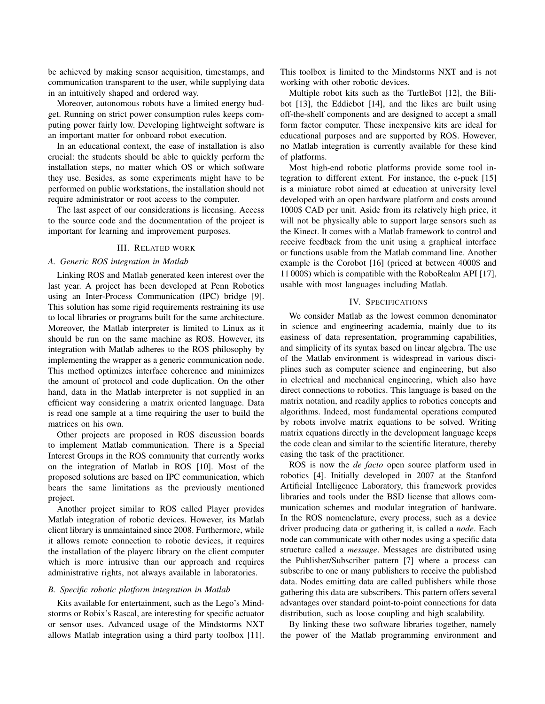be achieved by making sensor acquisition, timestamps, and communication transparent to the user, while supplying data in an intuitively shaped and ordered way.

Moreover, autonomous robots have a limited energy budget. Running on strict power consumption rules keeps computing power fairly low. Developing lightweight software is an important matter for onboard robot execution.

In an educational context, the ease of installation is also crucial: the students should be able to quickly perform the installation steps, no matter which OS or which software they use. Besides, as some experiments might have to be performed on public workstations, the installation should not require administrator or root access to the computer.

The last aspect of our considerations is licensing. Access to the source code and the documentation of the project is important for learning and improvement purposes.

#### III. RELATED WORK

## *A. Generic ROS integration in Matlab*

Linking ROS and Matlab generated keen interest over the last year. A project has been developed at Penn Robotics using an Inter-Process Communication (IPC) bridge [9]. This solution has some rigid requirements restraining its use to local libraries or programs built for the same architecture. Moreover, the Matlab interpreter is limited to Linux as it should be run on the same machine as ROS. However, its integration with Matlab adheres to the ROS philosophy by implementing the wrapper as a generic communication node. This method optimizes interface coherence and minimizes the amount of protocol and code duplication. On the other hand, data in the Matlab interpreter is not supplied in an efficient way considering a matrix oriented language. Data is read one sample at a time requiring the user to build the matrices on his own.

Other projects are proposed in ROS discussion boards to implement Matlab communication. There is a Special Interest Groups in the ROS community that currently works on the integration of Matlab in ROS [10]. Most of the proposed solutions are based on IPC communication, which bears the same limitations as the previously mentioned project.

Another project similar to ROS called Player provides Matlab integration of robotic devices. However, its Matlab client library is unmaintained since 2008. Furthermore, while it allows remote connection to robotic devices, it requires the installation of the playerc library on the client computer which is more intrusive than our approach and requires administrative rights, not always available in laboratories.

#### *B. Specific robotic platform integration in Matlab*

Kits available for entertainment, such as the Lego's Mindstorms or Robix's Rascal, are interesting for specific actuator or sensor uses. Advanced usage of the Mindstorms NXT allows Matlab integration using a third party toolbox [11]. This toolbox is limited to the Mindstorms NXT and is not working with other robotic devices.

Multiple robot kits such as the TurtleBot [12], the Bilibot [13], the Eddiebot [14], and the likes are built using off-the-shelf components and are designed to accept a small form factor computer. These inexpensive kits are ideal for educational purposes and are supported by ROS. However, no Matlab integration is currently available for these kind of platforms.

Most high-end robotic platforms provide some tool integration to different extent. For instance, the e-puck [15] is a miniature robot aimed at education at university level developed with an open hardware platform and costs around 1000\$ CAD per unit. Aside from its relatively high price, it will not be physically able to support large sensors such as the Kinect. It comes with a Matlab framework to control and receive feedback from the unit using a graphical interface or functions usable from the Matlab command line. Another example is the Corobot [16] (priced at between 4000\$ and 11 000\$) which is compatible with the RoboRealm API [17], usable with most languages including Matlab.

# IV. SPECIFICATIONS

We consider Matlab as the lowest common denominator in science and engineering academia, mainly due to its easiness of data representation, programming capabilities, and simplicity of its syntax based on linear algebra. The use of the Matlab environment is widespread in various disciplines such as computer science and engineering, but also in electrical and mechanical engineering, which also have direct connections to robotics. This language is based on the matrix notation, and readily applies to robotics concepts and algorithms. Indeed, most fundamental operations computed by robots involve matrix equations to be solved. Writing matrix equations directly in the development language keeps the code clean and similar to the scientific literature, thereby easing the task of the practitioner.

ROS is now the *de facto* open source platform used in robotics [4]. Initially developed in 2007 at the Stanford Artificial Intelligence Laboratory, this framework provides libraries and tools under the BSD license that allows communication schemes and modular integration of hardware. In the ROS nomenclature, every process, such as a device driver producing data or gathering it, is called a *node*. Each node can communicate with other nodes using a specific data structure called a *message*. Messages are distributed using the Publisher/Subscriber pattern [7] where a process can subscribe to one or many publishers to receive the published data. Nodes emitting data are called publishers while those gathering this data are subscribers. This pattern offers several advantages over standard point-to-point connections for data distribution, such as loose coupling and high scalability.

By linking these two software libraries together, namely the power of the Matlab programming environment and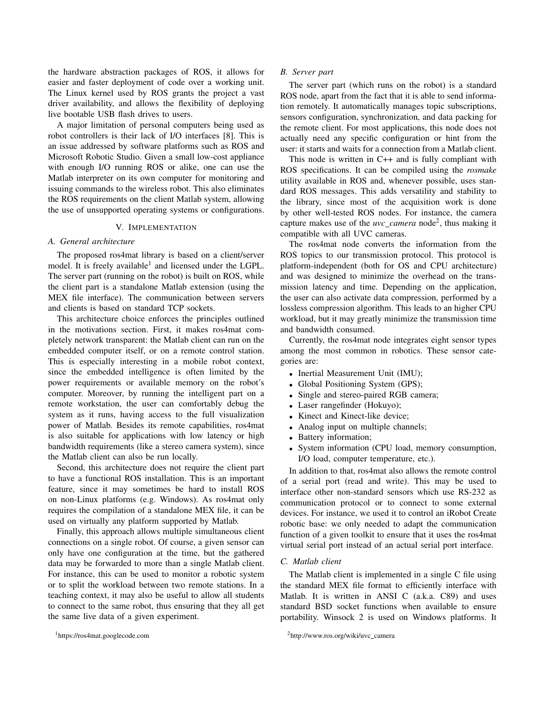the hardware abstraction packages of ROS, it allows for easier and faster deployment of code over a working unit. The Linux kernel used by ROS grants the project a vast driver availability, and allows the flexibility of deploying live bootable USB flash drives to users.

A major limitation of personal computers being used as robot controllers is their lack of I/O interfaces [8]. This is an issue addressed by software platforms such as ROS and Microsoft Robotic Studio. Given a small low-cost appliance with enough I/O running ROS or alike, one can use the Matlab interpreter on its own computer for monitoring and issuing commands to the wireless robot. This also eliminates the ROS requirements on the client Matlab system, allowing the use of unsupported operating systems or configurations.

#### V. IMPLEMENTATION

### *A. General architecture*

The proposed ros4mat library is based on a client/server model. It is freely available<sup>1</sup> and licensed under the LGPL. The server part (running on the robot) is built on ROS, while the client part is a standalone Matlab extension (using the MEX file interface). The communication between servers and clients is based on standard TCP sockets.

This architecture choice enforces the principles outlined in the motivations section. First, it makes ros4mat completely network transparent: the Matlab client can run on the embedded computer itself, or on a remote control station. This is especially interesting in a mobile robot context, since the embedded intelligence is often limited by the power requirements or available memory on the robot's computer. Moreover, by running the intelligent part on a remote workstation, the user can comfortably debug the system as it runs, having access to the full visualization power of Matlab. Besides its remote capabilities, ros4mat is also suitable for applications with low latency or high bandwidth requirements (like a stereo camera system), since the Matlab client can also be run locally.

Second, this architecture does not require the client part to have a functional ROS installation. This is an important feature, since it may sometimes be hard to install ROS on non-Linux platforms (e.g. Windows). As ros4mat only requires the compilation of a standalone MEX file, it can be used on virtually any platform supported by Matlab.

Finally, this approach allows multiple simultaneous client connections on a single robot. Of course, a given sensor can only have one configuration at the time, but the gathered data may be forwarded to more than a single Matlab client. For instance, this can be used to monitor a robotic system or to split the workload between two remote stations. In a teaching context, it may also be useful to allow all students to connect to the same robot, thus ensuring that they all get the same live data of a given experiment.

#### *B. Server part*

The server part (which runs on the robot) is a standard ROS node, apart from the fact that it is able to send information remotely. It automatically manages topic subscriptions, sensors configuration, synchronization, and data packing for the remote client. For most applications, this node does not actually need any specific configuration or hint from the user: it starts and waits for a connection from a Matlab client.

This node is written in C++ and is fully compliant with ROS specifications. It can be compiled using the *rosmake* utility available in ROS and, whenever possible, uses standard ROS messages. This adds versatility and stability to the library, since most of the acquisition work is done by other well-tested ROS nodes. For instance, the camera capture makes use of the *uvc\_camera* node<sup>2</sup>, thus making it compatible with all UVC cameras.

The ros4mat node converts the information from the ROS topics to our transmission protocol. This protocol is platform-independent (both for OS and CPU architecture) and was designed to minimize the overhead on the transmission latency and time. Depending on the application, the user can also activate data compression, performed by a lossless compression algorithm. This leads to an higher CPU workload, but it may greatly minimize the transmission time and bandwidth consumed.

Currently, the ros4mat node integrates eight sensor types among the most common in robotics. These sensor categories are:

- Inertial Measurement Unit (IMU);
- Global Positioning System (GPS);
- Single and stereo-paired RGB camera;
- Laser rangefinder (Hokuyo);
- Kinect and Kinect-like device;
- Analog input on multiple channels;
- Battery information;
- System information (CPU load, memory consumption, I/O load, computer temperature, etc.).

In addition to that, ros4mat also allows the remote control of a serial port (read and write). This may be used to interface other non-standard sensors which use RS-232 as communication protocol or to connect to some external devices. For instance, we used it to control an iRobot Create robotic base: we only needed to adapt the communication function of a given toolkit to ensure that it uses the ros4mat virtual serial port instead of an actual serial port interface.

# *C. Matlab client*

The Matlab client is implemented in a single C file using the standard MEX file format to efficiently interface with Matlab. It is written in ANSI C (a.k.a. C89) and uses standard BSD socket functions when available to ensure portability. Winsock 2 is used on Windows platforms. It

<sup>1</sup>https://ros4mat.googlecode.com

<sup>&</sup>lt;sup>2</sup>http://www.ros.org/wiki/uvc\_camera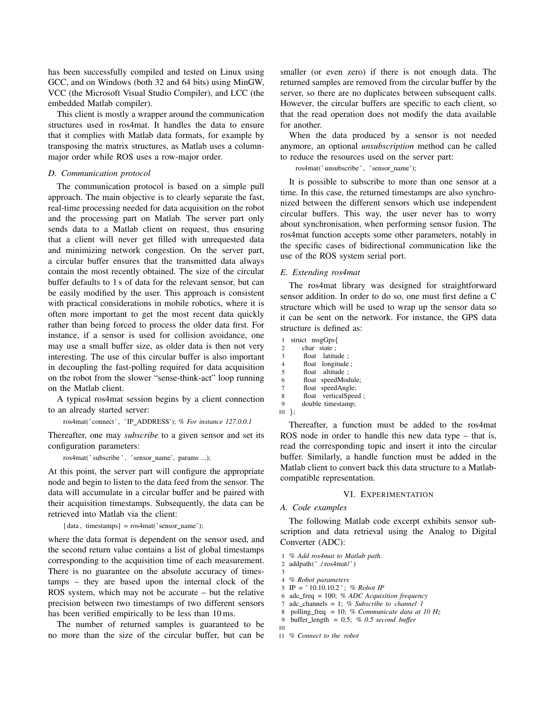has been successfully compiled and tested on Linux using GCC, and on Windows (both 32 and 64 bits) using MinGW, VCC (the Microsoft Visual Studio Compiler), and LCC (the embedded Matlab compiler).

This client is mostly a wrapper around the communication structures used in ros4mat. It handles the data to ensure that it complies with Matlab data formats, for example by transposing the matrix structures, as Matlab uses a columnmajor order while ROS uses a row-major order.

## *D. Communication protocol*

The communication protocol is based on a simple pull approach. The main objective is to clearly separate the fast, real-time processing needed for data acquisition on the robot and the processing part on Matlab. The server part only sends data to a Matlab client on request, thus ensuring that a client will never get filled with unrequested data and minimizing network congestion. On the server part, a circular buffer ensures that the transmitted data always contain the most recently obtained. The size of the circular buffer defaults to 1 s of data for the relevant sensor, but can be easily modified by the user. This approach is consistent with practical considerations in mobile robotics, where it is often more important to get the most recent data quickly rather than being forced to process the older data first. For instance, if a sensor is used for collision avoidance, one may use a small buffer size, as older data is then not very interesting. The use of this circular buffer is also important in decoupling the fast-polling required for data acquisition on the robot from the slower "sense-think-act" loop running on the Matlab client.

A typical ros4mat session begins by a client connection to an already started server:

ros4mat('connect' , 'IP ADDRESS'); *% For instance 127.0.0.1*

Thereafter, one may *subscribe* to a given sensor and set its configuration parameters:

ros4mat(' subscribe ', ' sensor name', params ...);

At this point, the server part will configure the appropriate node and begin to listen to the data feed from the sensor. The data will accumulate in a circular buffer and be paired with their acquisition timestamps. Subsequently, the data can be retrieved into Matlab via the client:

 $[data, timestamps] = ros4mat('sensor name');$ 

where the data format is dependent on the sensor used, and the second return value contains a list of global timestamps corresponding to the acquisition time of each measurement. There is no guarantee on the absolute accuracy of timestamps – they are based upon the internal clock of the ROS system, which may not be accurate – but the relative precision between two timestamps of two different sensors has been verified empirically to be less than 10 ms.

The number of returned samples is guaranteed to be no more than the size of the circular buffer, but can be smaller (or even zero) if there is not enough data. The returned samples are removed from the circular buffer by the server, so there are no duplicates between subsequent calls. However, the circular buffers are specific to each client, so that the read operation does not modify the data available for another.

When the data produced by a sensor is not needed anymore, an optional *unsubscription* method can be called to reduce the resources used on the server part:

ros4mat('unsubscribe', 'sensor name');

It is possible to subscribe to more than one sensor at a time. In this case, the returned timestamps are also synchronized between the different sensors which use independent circular buffers. This way, the user never has to worry about synchronisation, when performing sensor fusion. The ros4mat function accepts some other parameters, notably in the specific cases of bidirectional communication like the use of the ROS system serial port.

## *E. Extending ros4mat*

The ros4mat library was designed for straightforward sensor addition. In order to do so, one must first define a C structure which will be used to wrap up the sensor data so it can be sent on the network. For instance, the GPS data structure is defined as:

 struct msgGps{ char state ; float latitude ; float longitude ; float altitude ; float speedModule; float speedAngle; float verticalSpeed ; double timestamp; 10 };

Thereafter, a function must be added to the ros4mat ROS node in order to handle this new data type – that is, read the corresponding topic and insert it into the circular buffer. Similarly, a handle function must be added in the Matlab client to convert back this data structure to a Matlabcompatible representation.

#### VI. EXPERIMENTATION

# *A. Code examples*

The following Matlab code excerpt exhibits sensor subscription and data retrieval using the Analog to Digital Converter (ADC):

- 1 *% Add ros4mat to Matlab path.*
- 2 addpath('./ros4mat/') 3
- 4 *% Robot parameters*
- 5 IP = ' 10.10.10.2 ' ; *% Robot IP*
- 6 adc freq = 100; *% ADC Acquisition frequency*
- 7 adc channels = 1; *% Subscribe to channel 1*
- 8 polling freq = 10; *% Communicate data at 10 Hz*<br>9 buffer length =  $0.5:$  *% 0.5 second buffer*

10 11 *% Connect to the robot*

<sup>9</sup> buffer length = 0.5; *% 0.5 second buffer*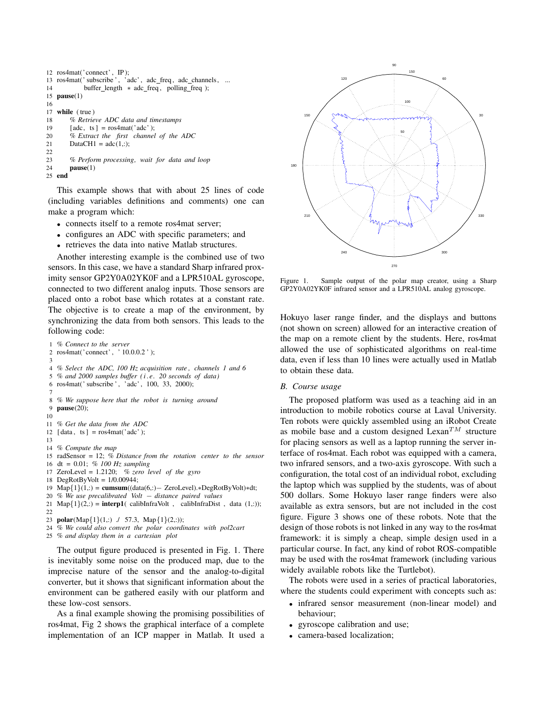```
12 ros4mat('connect' , IP );
13 ros4mat(' subscribe ', 'adc', adc_freq, adc_channels, ...
14 buffer_length * adc_freq, polling_freq );
15 pause(1)
16
17 while ( true )
18 % Retrieve ADC data and timestamps
19 [adc, ts] = ros4mat('adc');<br>
20 % Extract the first channel
        20 % Extract the first channel of the ADC
21 DataCH1 = \text{adc}(1, :);rac{22}{23}23 % Perform processing, wait for data and loop
24 pause(1)
25 end
```
This example shows that with about 25 lines of code (including variables definitions and comments) one can make a program which:

- connects itself to a remote ros4mat server;
- configures an ADC with specific parameters; and
- retrieves the data into native Matlab structures.

Another interesting example is the combined use of two sensors. In this case, we have a standard Sharp infrared proximity sensor GP2Y0A02YK0F and a LPR510AL gyroscope, connected to two different analog inputs. Those sensors are placed onto a robot base which rotates at a constant rate. The objective is to create a map of the environment, by synchronizing the data from both sensors. This leads to the following code:

```
1 % Connect to the server
 2 ros4mat('connect' , ' 10.0.0.2 ' );
 3
 4 % Select the ADC, 100 Hz acquisition rate , channels 1 and 6
 5 % and 2000 samples buffer ( i .e. 20 seconds of data)
 6 ros4mat(' subscribe ', 'adc', 100, 33, 2000);
 7
 8 % We suppose here that the robot is turning around
 9 pause(20);
10
11 % Get the data from the ADC
12 [data, ts] = ros4mat('adc');13
14 % Compute the map
15 radSensor = 12; % Distance from the rotation center to the sensor
16 dt = 0.01; % 100 Hz sampling
17 ZeroLevel = 1.2120; % zero level of the gyro
18 DegRotByVolt = 1/0.00944;
19 Map{1}(1,:) = cumsum((data(6,:)− ZeroLevel).∗DegRotByVolt)∗dt;
20 % We use precalibrated Volt − distance paired values
21 Map\{1\}(2,:) = interp1( calibInfraVolt, calibInfraDist, data (1,:));
22
23 polar(Map{1}(1,:) \therefore 57.3, Map{1}(2,:));
24 % We could also convert the polar coordinates with pol2cart
25 % and display them in a cartesian plot
```
The output figure produced is presented in Fig. 1. There is inevitably some noise on the produced map, due to the imprecise nature of the sensor and the analog-to-digital converter, but it shows that significant information about the environment can be gathered easily with our platform and these low-cost sensors.

As a final example showing the promising possibilities of ros4mat, Fig 2 shows the graphical interface of a complete implementation of an ICP mapper in Matlab. It used a



Figure 1. Sample output of the polar map creator, using a Sharp GP2Y0A02YK0F infrared sensor and a LPR510AL analog gyroscope.

Hokuyo laser range finder, and the displays and buttons (not shown on screen) allowed for an interactive creation of the map on a remote client by the students. Here, ros4mat allowed the use of sophisticated algorithms on real-time data, even if less than 10 lines were actually used in Matlab to obtain these data.

#### *B. Course usage*

The proposed platform was used as a teaching aid in an introduction to mobile robotics course at Laval University. Ten robots were quickly assembled using an iRobot Create as mobile base and a custom designed  $Lexan<sup>TM</sup>$  structure for placing sensors as well as a laptop running the server interface of ros4mat. Each robot was equipped with a camera, two infrared sensors, and a two-axis gyroscope. With such a configuration, the total cost of an individual robot, excluding the laptop which was supplied by the students, was of about 500 dollars. Some Hokuyo laser range finders were also available as extra sensors, but are not included in the cost figure. Figure 3 shows one of these robots. Note that the design of those robots is not linked in any way to the ros4mat framework: it is simply a cheap, simple design used in a particular course. In fact, any kind of robot ROS-compatible may be used with the ros4mat framework (including various widely available robots like the Turtlebot).

The robots were used in a series of practical laboratories, where the students could experiment with concepts such as:

- infrared sensor measurement (non-linear model) and behaviour;
- gyroscope calibration and use;
- camera-based localization;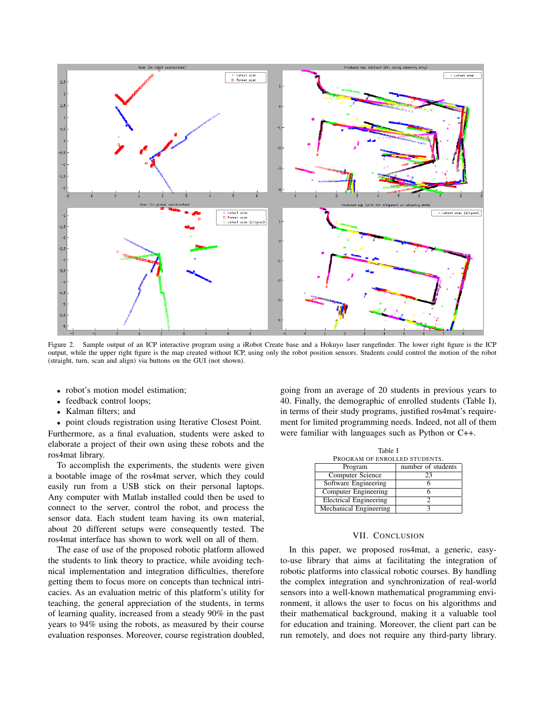

Figure 2. Sample output of an ICP interactive program using a iRobot Create base and a Hokuyo laser rangefinder. The lower right figure is the ICP output, while the upper right figure is the map created without ICP, using only the robot position sensors. Students could control the motion of the robot (straight, turn, scan and align) via buttons on the GUI (not shown).

- robot's motion model estimation;
- feedback control loops;
- Kalman filters; and
- point clouds registration using Iterative Closest Point. Furthermore, as a final evaluation, students were asked to elaborate a project of their own using these robots and the ros4mat library.

To accomplish the experiments, the students were given a bootable image of the ros4mat server, which they could easily run from a USB stick on their personal laptops. Any computer with Matlab installed could then be used to connect to the server, control the robot, and process the sensor data. Each student team having its own material, about 20 different setups were consequently tested. The ros4mat interface has shown to work well on all of them.

The ease of use of the proposed robotic platform allowed the students to link theory to practice, while avoiding technical implementation and integration difficulties, therefore getting them to focus more on concepts than technical intricacies. As an evaluation metric of this platform's utility for teaching, the general appreciation of the students, in terms of learning quality, increased from a steady 90% in the past years to 94% using the robots, as measured by their course evaluation responses. Moreover, course registration doubled, going from an average of 20 students in previous years to 40. Finally, the demographic of enrolled students (Table I), in terms of their study programs, justified ros4mat's requirement for limited programming needs. Indeed, not all of them were familiar with languages such as Python or C++.

| Table I                       |                    |
|-------------------------------|--------------------|
| PROGRAM OF ENROLLED STUDENTS. |                    |
| Program                       | number of students |
| Computer Science              | 23                 |
| Software Engineering          |                    |
| Computer Engineering          |                    |
| <b>Electrical Engineering</b> |                    |
| Mechanical Engineering        |                    |

## VII. CONCLUSION

In this paper, we proposed ros4mat, a generic, easyto-use library that aims at facilitating the integration of robotic platforms into classical robotic courses. By handling the complex integration and synchronization of real-world sensors into a well-known mathematical programming environment, it allows the user to focus on his algorithms and their mathematical background, making it a valuable tool for education and training. Moreover, the client part can be run remotely, and does not require any third-party library.